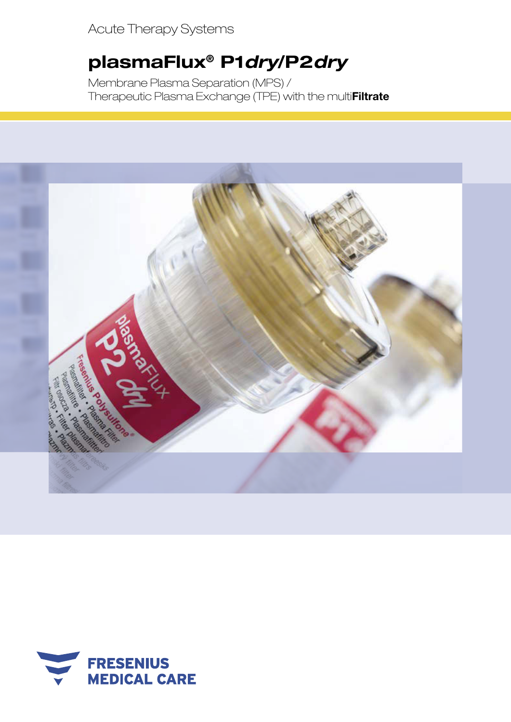Acute Therapy Systems

# plasmaFlux® P1*dry*/P2*dry*

Membrane Plasma Separation (MPS) / Therapeutic Plasma Exchange (TPE) with the multi**Filtrate** 



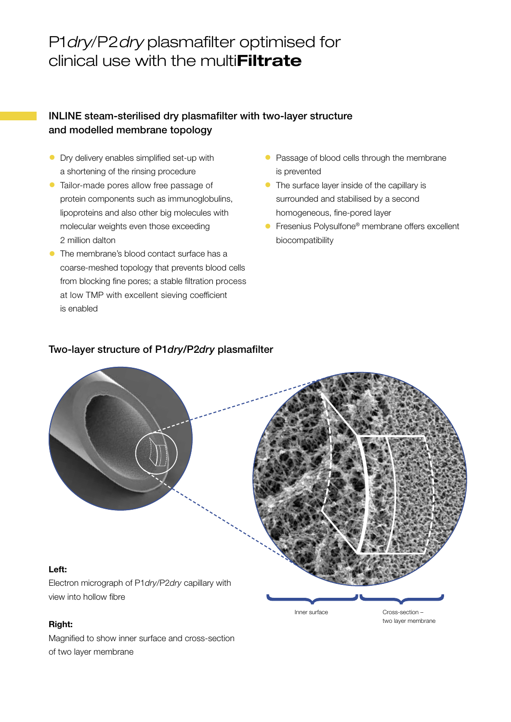## P1*dry*/P2*dry* plasmafilter optimised for clinical use with the multi**Filtrate**

#### INLINE steam-sterilised dry plasmafilter with two-layer structure and modelled membrane topology

- Dry delivery enables simplified set-up with a shortening of the rinsing procedure
- Tailor-made pores allow free passage of protein components such as immunoglobulins, lipoproteins and also other big molecules with molecular weights even those exceeding 2 million dalton
- The membrane's blood contact surface has a coarse-meshed topology that prevents blood cells from blocking fine pores; a stable filtration process at low TMP with excellent sieving coefficient is enabled
- Passage of blood cells through the membrane is prevented
- The surface layer inside of the capillary is surrounded and stabilised by a second homogeneous, fine-pored layer
- **•** Fresenius Polysulfone<sup>®</sup> membrane offers excellent biocompatibility

#### Two-layer structure of P1*dry*/P2*dry* plasmafilter



#### Right:

Magnified to show inner surface and cross-section of two layer membrane

Inner surface

Cross-section – two layer membrane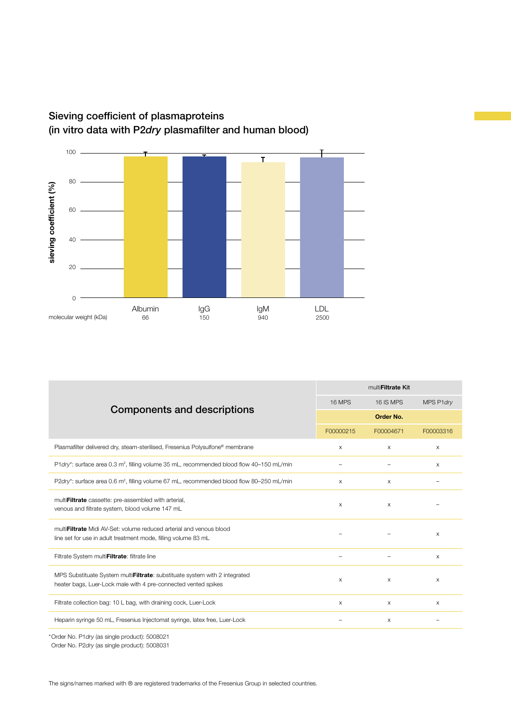

### Sieving coefficient of plasmaproteins (in vitro data with P2*dry* plasmafilter and human blood)

| multi <b>Filtrate Kit</b> |           |                           |
|---------------------------|-----------|---------------------------|
| <b>16 MPS</b>             | 16 IS MPS | MPS P1dry                 |
| Order No.                 |           |                           |
| F00000215                 | F00004671 | F00003316                 |
| X                         | $\times$  | $\times$                  |
|                           |           | $\times$                  |
| $\times$                  | $\times$  |                           |
| $\times$                  | $\times$  |                           |
|                           |           |                           |
|                           |           | $\times$                  |
|                           |           |                           |
| $\qquad \qquad -$         |           | $\boldsymbol{\mathsf{X}}$ |
| $\times$                  | $\times$  | $\times$                  |
| $\times$                  | $\times$  | $\times$                  |
|                           | $\times$  |                           |
|                           |           |                           |

\*Order No. P1*dry* (as single product): 5008021

Order No. P2*dry* (as single product): 5008031